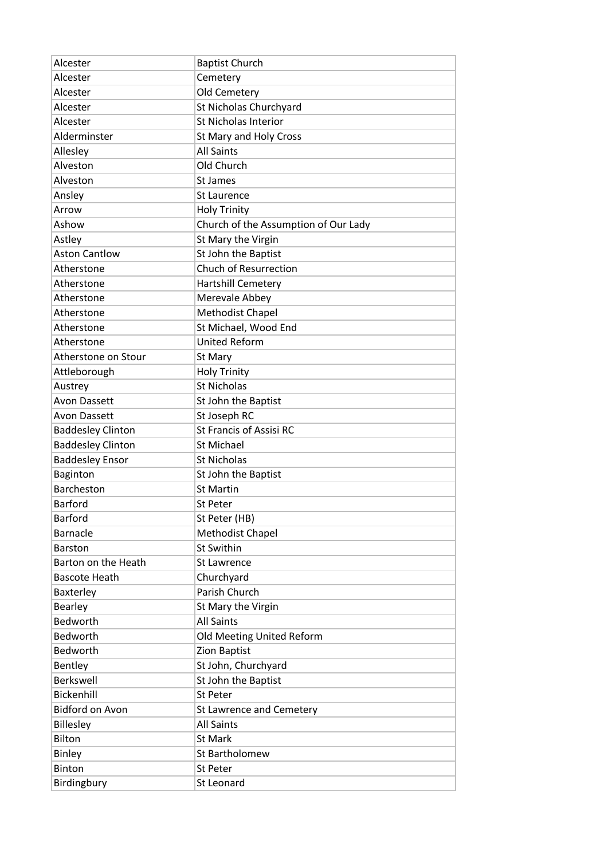| Alcester                 | <b>Baptist Church</b>                |
|--------------------------|--------------------------------------|
| Alcester                 | Cemetery                             |
| Alcester                 | Old Cemetery                         |
| Alcester                 | St Nicholas Churchyard               |
| Alcester                 | St Nicholas Interior                 |
| Alderminster             | St Mary and Holy Cross               |
| Allesley                 | <b>All Saints</b>                    |
| Alveston                 | Old Church                           |
| Alveston                 | St James                             |
| Ansley                   | <b>St Laurence</b>                   |
| Arrow                    | <b>Holy Trinity</b>                  |
| Ashow                    | Church of the Assumption of Our Lady |
| Astley                   | St Mary the Virgin                   |
| <b>Aston Cantlow</b>     | St John the Baptist                  |
| Atherstone               | Chuch of Resurrection                |
| Atherstone               | <b>Hartshill Cemetery</b>            |
| Atherstone               | Merevale Abbey                       |
| Atherstone               | Methodist Chapel                     |
| Atherstone               | St Michael, Wood End                 |
| Atherstone               | <b>United Reform</b>                 |
| Atherstone on Stour      | St Mary                              |
| Attleborough             | <b>Holy Trinity</b>                  |
| Austrey                  | <b>St Nicholas</b>                   |
| <b>Avon Dassett</b>      | St John the Baptist                  |
| Avon Dassett             | St Joseph RC                         |
| <b>Baddesley Clinton</b> | <b>St Francis of Assisi RC</b>       |
| <b>Baddesley Clinton</b> | <b>St Michael</b>                    |
| <b>Baddesley Ensor</b>   | <b>St Nicholas</b>                   |
| Baginton                 | St John the Baptist                  |
| <b>Barcheston</b>        | <b>St Martin</b>                     |
| <b>Barford</b>           | St Peter                             |
| <b>Barford</b>           | St Peter (HB)                        |
| <b>Barnacle</b>          | Methodist Chapel                     |
| <b>Barston</b>           | St Swithin                           |
| Barton on the Heath      | St Lawrence                          |
| <b>Bascote Heath</b>     | Churchyard                           |
| Baxterley                | Parish Church                        |
| Bearley                  | St Mary the Virgin                   |
| Bedworth                 | <b>All Saints</b>                    |
| Bedworth                 | Old Meeting United Reform            |
| Bedworth                 | Zion Baptist                         |
| Bentley                  | St John, Churchyard                  |
| Berkswell                | St John the Baptist                  |
| Bickenhill               | St Peter                             |
| <b>Bidford on Avon</b>   | St Lawrence and Cemetery             |
| Billesley                | <b>All Saints</b>                    |
| Bilton                   | <b>St Mark</b>                       |
| Binley                   | St Bartholomew                       |
| Binton                   | St Peter                             |
| Birdingbury              | St Leonard                           |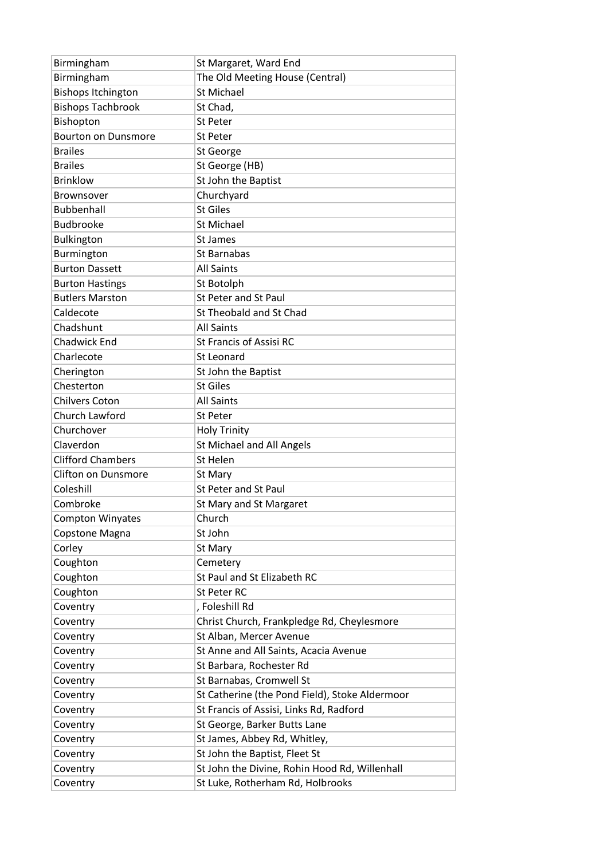| Birmingham                 | St Margaret, Ward End                                                             |
|----------------------------|-----------------------------------------------------------------------------------|
| Birmingham                 | The Old Meeting House (Central)                                                   |
| <b>Bishops Itchington</b>  | <b>St Michael</b>                                                                 |
| <b>Bishops Tachbrook</b>   | St Chad,                                                                          |
| Bishopton                  | <b>St Peter</b>                                                                   |
| <b>Bourton on Dunsmore</b> | <b>St Peter</b>                                                                   |
| <b>Brailes</b>             | St George                                                                         |
| <b>Brailes</b>             | St George (HB)                                                                    |
| <b>Brinklow</b>            | St John the Baptist                                                               |
| <b>Brownsover</b>          | Churchyard                                                                        |
| <b>Bubbenhall</b>          | <b>St Giles</b>                                                                   |
| <b>Budbrooke</b>           | St Michael                                                                        |
| Bulkington                 | St James                                                                          |
| Burmington                 | St Barnabas                                                                       |
| <b>Burton Dassett</b>      | <b>All Saints</b>                                                                 |
| <b>Burton Hastings</b>     | St Botolph                                                                        |
| <b>Butlers Marston</b>     | St Peter and St Paul                                                              |
| Caldecote                  | St Theobald and St Chad                                                           |
| Chadshunt                  | <b>All Saints</b>                                                                 |
| Chadwick End               | <b>St Francis of Assisi RC</b>                                                    |
| Charlecote                 | St Leonard                                                                        |
| Cherington                 | St John the Baptist                                                               |
| Chesterton                 | <b>St Giles</b>                                                                   |
| <b>Chilvers Coton</b>      | <b>All Saints</b>                                                                 |
| Church Lawford             | St Peter                                                                          |
| Churchover                 | <b>Holy Trinity</b>                                                               |
|                            |                                                                                   |
| Claverdon                  | St Michael and All Angels                                                         |
| <b>Clifford Chambers</b>   | St Helen                                                                          |
| Clifton on Dunsmore        | St Mary                                                                           |
| Coleshill                  | St Peter and St Paul                                                              |
| Combroke                   | St Mary and St Margaret                                                           |
| <b>Compton Winyates</b>    | Church                                                                            |
| Copstone Magna             | St John                                                                           |
| Corley                     | St Mary                                                                           |
| Coughton                   | Cemetery                                                                          |
| Coughton                   | St Paul and St Elizabeth RC                                                       |
| Coughton                   | St Peter RC                                                                       |
| Coventry                   | , Foleshill Rd                                                                    |
| Coventry                   | Christ Church, Frankpledge Rd, Cheylesmore                                        |
| Coventry                   | St Alban, Mercer Avenue                                                           |
| Coventry                   | St Anne and All Saints, Acacia Avenue                                             |
| Coventry                   | St Barbara, Rochester Rd                                                          |
| Coventry                   | St Barnabas, Cromwell St                                                          |
| Coventry                   | St Catherine (the Pond Field), Stoke Aldermoor                                    |
| Coventry                   | St Francis of Assisi, Links Rd, Radford                                           |
| Coventry                   | St George, Barker Butts Lane                                                      |
| Coventry                   | St James, Abbey Rd, Whitley,                                                      |
| Coventry                   | St John the Baptist, Fleet St                                                     |
| Coventry                   | St John the Divine, Rohin Hood Rd, Willenhall<br>St Luke, Rotherham Rd, Holbrooks |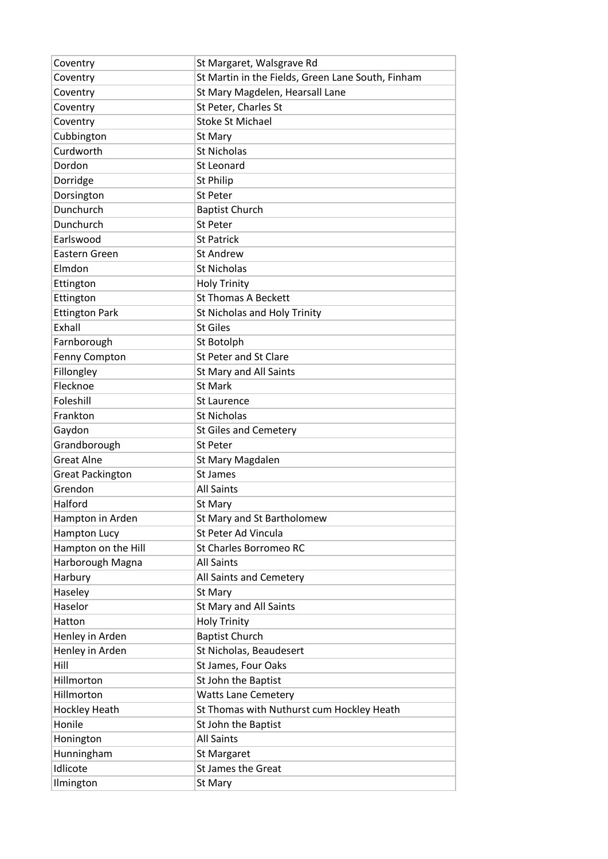| Coventry                | St Margaret, Walsgrave Rd                         |
|-------------------------|---------------------------------------------------|
| Coventry                | St Martin in the Fields, Green Lane South, Finham |
| Coventry                | St Mary Magdelen, Hearsall Lane                   |
| Coventry                | St Peter, Charles St                              |
| Coventry                | <b>Stoke St Michael</b>                           |
| Cubbington              | St Mary                                           |
| Curdworth               | <b>St Nicholas</b>                                |
| Dordon                  | St Leonard                                        |
| Dorridge                | St Philip                                         |
| Dorsington              | <b>St Peter</b>                                   |
| Dunchurch               | <b>Baptist Church</b>                             |
| Dunchurch               | <b>St Peter</b>                                   |
| Earlswood               | <b>St Patrick</b>                                 |
| Eastern Green           | <b>St Andrew</b>                                  |
| Elmdon                  | <b>St Nicholas</b>                                |
| Ettington               | <b>Holy Trinity</b>                               |
| Ettington               | <b>St Thomas A Beckett</b>                        |
| <b>Ettington Park</b>   | St Nicholas and Holy Trinity                      |
| Exhall                  | <b>St Giles</b>                                   |
| Farnborough             | St Botolph                                        |
| Fenny Compton           | St Peter and St Clare                             |
| Fillongley              | St Mary and All Saints                            |
| Flecknoe                | <b>St Mark</b>                                    |
| Foleshill               | <b>St Laurence</b>                                |
| Frankton                | <b>St Nicholas</b>                                |
| Gaydon                  | <b>St Giles and Cemetery</b>                      |
| Grandborough            | <b>St Peter</b>                                   |
| <b>Great Alne</b>       | St Mary Magdalen                                  |
| <b>Great Packington</b> | St James                                          |
| Grendon                 | <b>All Saints</b>                                 |
| Halford                 | St Mary                                           |
| Hampton in Arden        | St Mary and St Bartholomew                        |
|                         | St Peter Ad Vincula                               |
| <b>Hampton Lucy</b>     |                                                   |
| Hampton on the Hill     | St Charles Borromeo RC                            |
| Harborough Magna        | <b>All Saints</b>                                 |
| Harbury                 | All Saints and Cemetery                           |
| Haseley                 | St Mary                                           |
| Haselor                 | St Mary and All Saints                            |
| Hatton                  | <b>Holy Trinity</b>                               |
| Henley in Arden         | <b>Baptist Church</b>                             |
| Henley in Arden         | St Nicholas, Beaudesert                           |
| Hill                    | St James, Four Oaks                               |
| Hillmorton              | St John the Baptist                               |
| Hillmorton              | <b>Watts Lane Cemetery</b>                        |
| Hockley Heath           | St Thomas with Nuthurst cum Hockley Heath         |
| Honile                  | St John the Baptist                               |
| Honington               | <b>All Saints</b>                                 |
| Hunningham              | St Margaret                                       |
| Idlicote                | <b>St James the Great</b>                         |
| Ilmington               | St Mary                                           |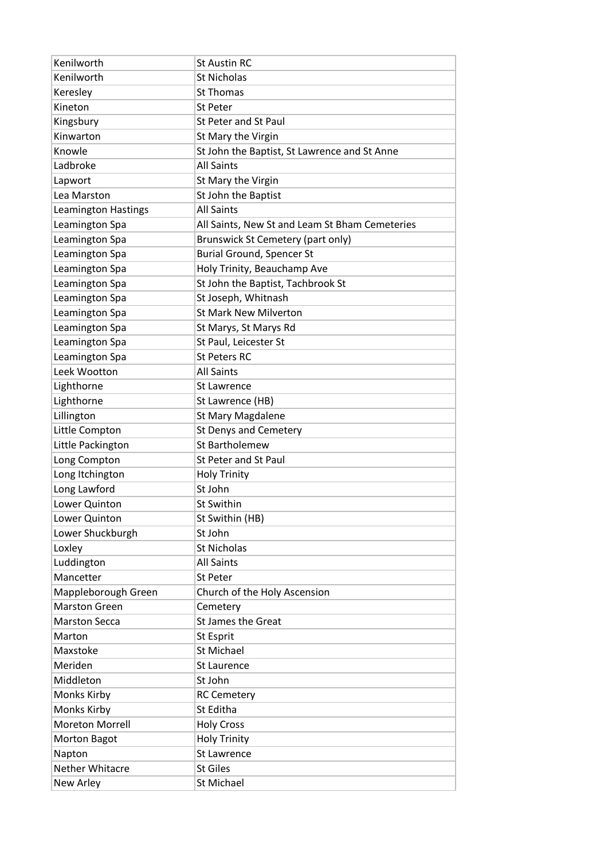| Kenilworth             | <b>St Austin RC</b>                            |
|------------------------|------------------------------------------------|
| Kenilworth             | <b>St Nicholas</b>                             |
| Keresley               | <b>St Thomas</b>                               |
| Kineton                | <b>St Peter</b>                                |
| Kingsbury              | St Peter and St Paul                           |
| Kinwarton              | St Mary the Virgin                             |
| Knowle                 | St John the Baptist, St Lawrence and St Anne   |
| Ladbroke               | <b>All Saints</b>                              |
| Lapwort                | St Mary the Virgin                             |
| Lea Marston            | St John the Baptist                            |
| Leamington Hastings    | <b>All Saints</b>                              |
| Leamington Spa         | All Saints, New St and Leam St Bham Cemeteries |
| Leamington Spa         | Brunswick St Cemetery (part only)              |
| Leamington Spa         | <b>Burial Ground, Spencer St</b>               |
| Leamington Spa         | Holy Trinity, Beauchamp Ave                    |
| Leamington Spa         | St John the Baptist, Tachbrook St              |
| Leamington Spa         | St Joseph, Whitnash                            |
| Leamington Spa         | <b>St Mark New Milverton</b>                   |
| Leamington Spa         | St Marys, St Marys Rd                          |
| Leamington Spa         | St Paul, Leicester St                          |
| Leamington Spa         | <b>St Peters RC</b>                            |
| Leek Wootton           | <b>All Saints</b>                              |
| Lighthorne             | St Lawrence                                    |
| Lighthorne             | St Lawrence (HB)                               |
| Lillington             | St Mary Magdalene                              |
| Little Compton         | <b>St Denys and Cemetery</b>                   |
| Little Packington      | St Bartholemew                                 |
| Long Compton           | <b>St Peter and St Paul</b>                    |
| Long Itchington        | <b>Holy Trinity</b>                            |
| Long Lawford           | St John                                        |
| Lower Quinton          | <b>St Swithin</b>                              |
| Lower Quinton          | St Swithin (HB)                                |
| Lower Shuckburgh       | St John                                        |
| Loxley                 | <b>St Nicholas</b>                             |
| Luddington             | <b>All Saints</b>                              |
| Mancetter              | St Peter                                       |
| Mappleborough Green    | Church of the Holy Ascension                   |
| <b>Marston Green</b>   | Cemetery                                       |
| <b>Marston Secca</b>   | <b>St James the Great</b>                      |
| Marton                 | St Esprit                                      |
| Maxstoke               | <b>St Michael</b>                              |
| Meriden                | <b>St Laurence</b>                             |
| Middleton              | St John                                        |
| Monks Kirby            | <b>RC Cemetery</b>                             |
| Monks Kirby            | St Editha                                      |
| <b>Moreton Morrell</b> | <b>Holy Cross</b>                              |
| <b>Morton Bagot</b>    | <b>Holy Trinity</b>                            |
| Napton                 | <b>St Lawrence</b>                             |
| Nether Whitacre        | <b>St Giles</b>                                |
| New Arley              | <b>St Michael</b>                              |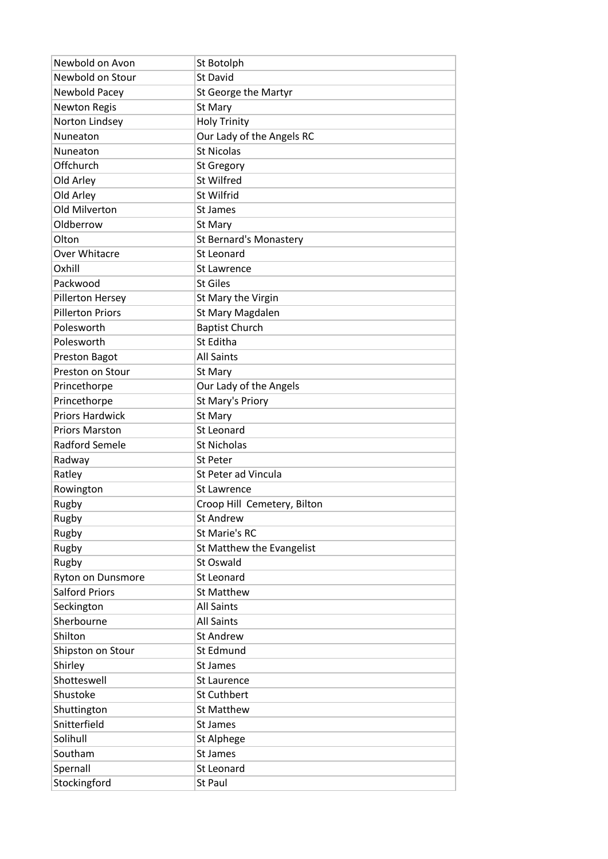| Newbold on Avon         | St Botolph                    |
|-------------------------|-------------------------------|
| Newbold on Stour        | St David                      |
| Newbold Pacey           | St George the Martyr          |
| <b>Newton Regis</b>     | St Mary                       |
| Norton Lindsey          | <b>Holy Trinity</b>           |
| Nuneaton                | Our Lady of the Angels RC     |
| Nuneaton                | <b>St Nicolas</b>             |
| Offchurch               | <b>St Gregory</b>             |
| Old Arley               | St Wilfred                    |
| Old Arley               | St Wilfrid                    |
| Old Milverton           | St James                      |
| Oldberrow               | St Mary                       |
| Olton                   | <b>St Bernard's Monastery</b> |
| Over Whitacre           | St Leonard                    |
| Oxhill                  | <b>St Lawrence</b>            |
| Packwood                | <b>St Giles</b>               |
| Pillerton Hersey        | St Mary the Virgin            |
| <b>Pillerton Priors</b> | St Mary Magdalen              |
| Polesworth              | <b>Baptist Church</b>         |
| Polesworth              | St Editha                     |
| Preston Bagot           | <b>All Saints</b>             |
| Preston on Stour        | St Mary                       |
| Princethorpe            | Our Lady of the Angels        |
| Princethorpe            | St Mary's Priory              |
| <b>Priors Hardwick</b>  | St Mary                       |
| <b>Priors Marston</b>   | St Leonard                    |
| <b>Radford Semele</b>   | St Nicholas                   |
| Radway                  | <b>St Peter</b>               |
| Ratley                  | St Peter ad Vincula           |
| Rowington               | <b>St Lawrence</b>            |
| Rugby                   | Croop Hill Cemetery, Bilton   |
| Rugby                   | <b>St Andrew</b>              |
| Rugby                   | St Marie's RC                 |
| Rugby                   | St Matthew the Evangelist     |
| Rugby                   | St Oswald                     |
| Ryton on Dunsmore       | St Leonard                    |
| <b>Salford Priors</b>   | <b>St Matthew</b>             |
| Seckington              | <b>All Saints</b>             |
| Sherbourne              | <b>All Saints</b>             |
| Shilton                 | <b>St Andrew</b>              |
| Shipston on Stour       | St Edmund                     |
| Shirley                 | St James                      |
| Shotteswell             | St Laurence                   |
| Shustoke                | St Cuthbert                   |
| Shuttington             | <b>St Matthew</b>             |
| Snitterfield            | St James                      |
| Solihull                | St Alphege                    |
| Southam                 | St James                      |
| Spernall                | St Leonard                    |
| Stockingford            | St Paul                       |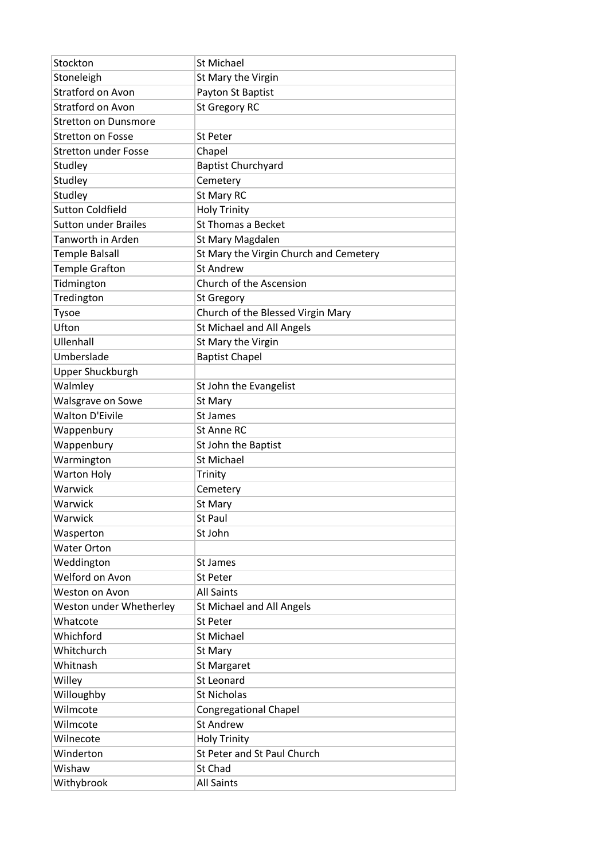| Stockton                    | <b>St Michael</b>                      |
|-----------------------------|----------------------------------------|
| Stoneleigh                  | St Mary the Virgin                     |
| Stratford on Avon           | Payton St Baptist                      |
| Stratford on Avon           | <b>St Gregory RC</b>                   |
| <b>Stretton on Dunsmore</b> |                                        |
| <b>Stretton on Fosse</b>    | <b>St Peter</b>                        |
| <b>Stretton under Fosse</b> | Chapel                                 |
| Studley                     | <b>Baptist Churchyard</b>              |
| Studley                     | Cemetery                               |
| Studley                     | St Mary RC                             |
| <b>Sutton Coldfield</b>     | <b>Holy Trinity</b>                    |
| <b>Sutton under Brailes</b> | <b>St Thomas a Becket</b>              |
| Tanworth in Arden           | St Mary Magdalen                       |
| <b>Temple Balsall</b>       | St Mary the Virgin Church and Cemetery |
| <b>Temple Grafton</b>       | <b>St Andrew</b>                       |
| Tidmington                  | Church of the Ascension                |
| Tredington                  | <b>St Gregory</b>                      |
| Tysoe                       | Church of the Blessed Virgin Mary      |
| Ufton                       | St Michael and All Angels              |
| Ullenhall                   | St Mary the Virgin                     |
| Umberslade                  | <b>Baptist Chapel</b>                  |
| Upper Shuckburgh            |                                        |
| Walmley                     | St John the Evangelist                 |
| Walsgrave on Sowe           | St Mary                                |
| <b>Walton D'Eivile</b>      | St James                               |
| Wappenbury                  | St Anne RC                             |
| Wappenbury                  | St John the Baptist                    |
| Warmington                  | <b>St Michael</b>                      |
| <b>Warton Holy</b>          | Trinity                                |
| Warwick                     | Cemetery                               |
| Warwick                     | St Mary                                |
| Warwick                     | St Paul                                |
| Wasperton                   | St John                                |
| <b>Water Orton</b>          |                                        |
| Weddington                  | St James                               |
| Welford on Avon             | St Peter                               |
| Weston on Avon              | <b>All Saints</b>                      |
| Weston under Whetherley     | St Michael and All Angels              |
| Whatcote                    | St Peter                               |
| Whichford                   | <b>St Michael</b>                      |
| Whitchurch                  | St Mary                                |
| Whitnash                    | St Margaret                            |
| Willey                      | <b>St Leonard</b>                      |
| Willoughby                  | <b>St Nicholas</b>                     |
| Wilmcote                    | <b>Congregational Chapel</b>           |
| Wilmcote                    | <b>St Andrew</b>                       |
| Wilnecote                   | <b>Holy Trinity</b>                    |
| Winderton                   | St Peter and St Paul Church            |
| Wishaw                      | St Chad                                |
| Withybrook                  | <b>All Saints</b>                      |
|                             |                                        |